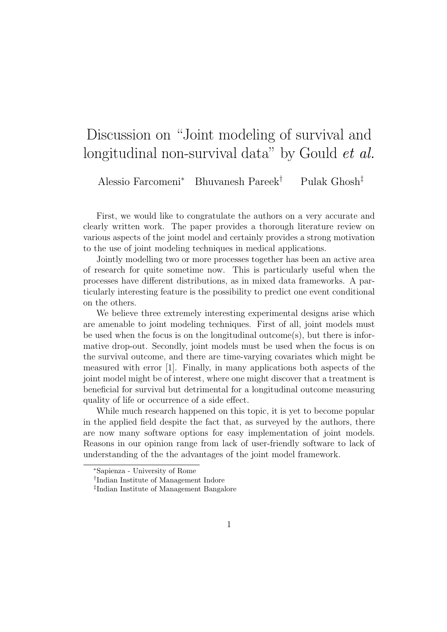## Discussion on "Joint modeling of survival and longitudinal non-survival data" by Gould *et al.*

Alessio Farcomeni<sup>∗</sup> Bhuvanesh Pareek† Pulak Ghosh‡

First, we would like to congratulate the authors on a very accurate and clearly written work. The paper provides a thorough literature review on various aspects of the joint model and certainly provides a strong motivation to the use of joint modeling techniques in medical applications.

Jointly modelling two or more processes together has been an active area of research for quite sometime now. This is particularly useful when the processes have different distributions, as in mixed data frameworks. A particularly interesting feature is the possibility to predict one event conditional on the others.

We believe three extremely interesting experimental designs arise which are amenable to joint modeling techniques. First of all, joint models must be used when the focus is on the longitudinal outcome(s), but there is informative drop-out. Secondly, joint models must be used when the focus is on the survival outcome, and there are time-varying covariates which might be measured with error [1]. Finally, in many applications both aspects of the joint model might be of interest, where one might discover that a treatment is beneficial for survival but detrimental for a longitudinal outcome measuring quality of life or occurrence of a side effect.

While much research happened on this topic, it is yet to become popular in the applied field despite the fact that, as surveyed by the authors, there are now many software options for easy implementation of joint models. Reasons in our opinion range from lack of user-friendly software to lack of understanding of the the advantages of the joint model framework.

<sup>∗</sup>Sapienza - University of Rome

<sup>†</sup> Indian Institute of Management Indore

<sup>‡</sup> Indian Institute of Management Bangalore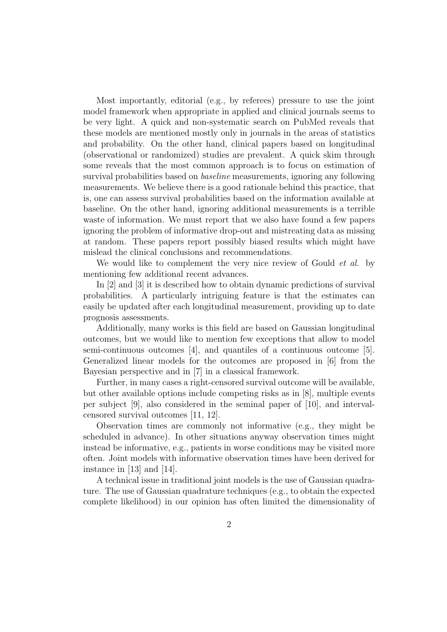Most importantly, editorial (e.g., by referees) pressure to use the joint model framework when appropriate in applied and clinical journals seems to be very light. A quick and non-systematic search on PubMed reveals that these models are mentioned mostly only in journals in the areas of statistics and probability. On the other hand, clinical papers based on longitudinal (observational or randomized) studies are prevalent. A quick skim through some reveals that the most common approach is to focus on estimation of survival probabilities based on baseline measurements, ignoring any following measurements. We believe there is a good rationale behind this practice, that is, one can assess survival probabilities based on the information available at baseline. On the other hand, ignoring additional measurements is a terrible waste of information. We must report that we also have found a few papers ignoring the problem of informative drop-out and mistreating data as missing at random. These papers report possibly biased results which might have mislead the clinical conclusions and recommendations.

We would like to complement the very nice review of Gould *et al.* by mentioning few additional recent advances.

In [2] and [3] it is described how to obtain dynamic predictions of survival probabilities. A particularly intriguing feature is that the estimates can easily be updated after each longitudinal measurement, providing up to date prognosis assessments.

Additionally, many works is this field are based on Gaussian longitudinal outcomes, but we would like to mention few exceptions that allow to model semi-continuous outcomes [4], and quantiles of a continuous outcome [5]. Generalized linear models for the outcomes are proposed in [6] from the Bayesian perspective and in [7] in a classical framework.

Further, in many cases a right-censored survival outcome will be available, but other available options include competing risks as in [8], multiple events per subject [9], also considered in the seminal paper of [10], and intervalcensored survival outcomes [11, 12].

Observation times are commonly not informative (e.g., they might be scheduled in advance). In other situations anyway observation times might instead be informative, e.g., patients in worse conditions may be visited more often. Joint models with informative observation times have been derived for instance in [13] and [14].

A technical issue in traditional joint models is the use of Gaussian quadrature. The use of Gaussian quadrature techniques (e.g., to obtain the expected complete likelihood) in our opinion has often limited the dimensionality of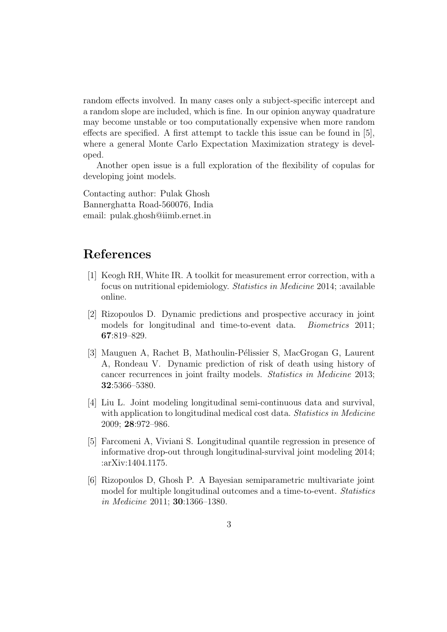random effects involved. In many cases only a subject-specific intercept and a random slope are included, which is fine. In our opinion anyway quadrature may become unstable or too computationally expensive when more random effects are specified. A first attempt to tackle this issue can be found in [5], where a general Monte Carlo Expectation Maximization strategy is developed.

Another open issue is a full exploration of the flexibility of copulas for developing joint models.

Contacting author: Pulak Ghosh Bannerghatta Road-560076, India email: pulak.ghosh@iimb.ernet.in

## References

- [1] Keogh RH, White IR. A toolkit for measurement error correction, with a focus on nutritional epidemiology. Statistics in Medicine 2014; :available online.
- [2] Rizopoulos D. Dynamic predictions and prospective accuracy in joint models for longitudinal and time-to-event data. Biometrics 2011; 67:819–829.
- [3] Mauguen A, Rachet B, Mathoulin-Pélissier S, MacGrogan G, Laurent A, Rondeau V. Dynamic prediction of risk of death using history of cancer recurrences in joint frailty models. Statistics in Medicine 2013; 32:5366–5380.
- [4] Liu L. Joint modeling longitudinal semi-continuous data and survival, with application to longitudinal medical cost data. Statistics in Medicine 2009; 28:972–986.
- [5] Farcomeni A, Viviani S. Longitudinal quantile regression in presence of informative drop-out through longitudinal-survival joint modeling 2014; :arXiv:1404.1175.
- [6] Rizopoulos D, Ghosh P. A Bayesian semiparametric multivariate joint model for multiple longitudinal outcomes and a time-to-event. Statistics in Medicine 2011; 30:1366–1380.